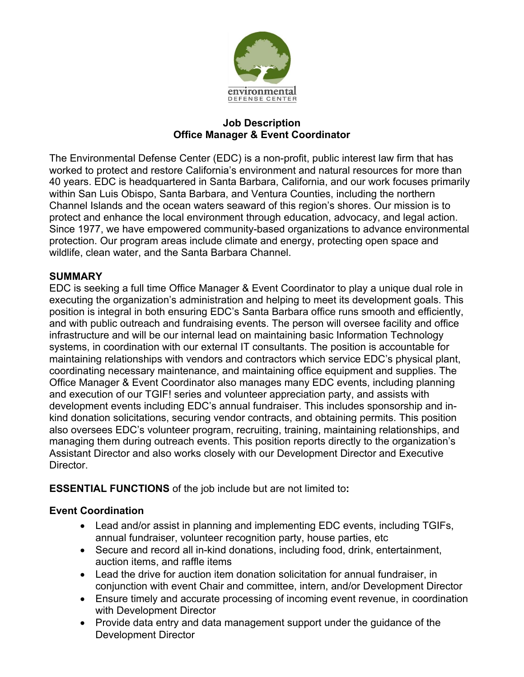

#### **Job Description Office Manager & Event Coordinator**

The Environmental Defense Center (EDC) is a non-profit, public interest law firm that has worked to protect and restore California's environment and natural resources for more than 40 years. EDC is headquartered in Santa Barbara, California, and our work focuses primarily within San Luis Obispo, Santa Barbara, and Ventura Counties, including the northern Channel Islands and the ocean waters seaward of this region's shores. Our mission is to protect and enhance the local environment through education, advocacy, and legal action. Since 1977, we have empowered community-based organizations to advance environmental protection. Our program areas include climate and energy, protecting open space and wildlife, clean water, and the Santa Barbara Channel.

### **SUMMARY**

EDC is seeking a full time Office Manager & Event Coordinator to play a unique dual role in executing the organization's administration and helping to meet its development goals. This position is integral in both ensuring EDC's Santa Barbara office runs smooth and efficiently, and with public outreach and fundraising events. The person will oversee facility and office infrastructure and will be our internal lead on maintaining basic Information Technology systems, in coordination with our external IT consultants. The position is accountable for maintaining relationships with vendors and contractors which service EDC's physical plant, coordinating necessary maintenance, and maintaining office equipment and supplies. The Office Manager & Event Coordinator also manages many EDC events, including planning and execution of our TGIF! series and volunteer appreciation party, and assists with development events including EDC's annual fundraiser. This includes sponsorship and inkind donation solicitations, securing vendor contracts, and obtaining permits. This position also oversees EDC's volunteer program, recruiting, training, maintaining relationships, and managing them during outreach events. This position reports directly to the organization's Assistant Director and also works closely with our Development Director and Executive Director.

**ESSENTIAL FUNCTIONS** of the job include but are not limited to**:**

### **Event Coordination**

- Lead and/or assist in planning and implementing EDC events, including TGIFs, annual fundraiser, volunteer recognition party, house parties, etc
- Secure and record all in-kind donations, including food, drink, entertainment, auction items, and raffle items
- Lead the drive for auction item donation solicitation for annual fundraiser, in conjunction with event Chair and committee, intern, and/or Development Director
- Ensure timely and accurate processing of incoming event revenue, in coordination with Development Director
- Provide data entry and data management support under the guidance of the Development Director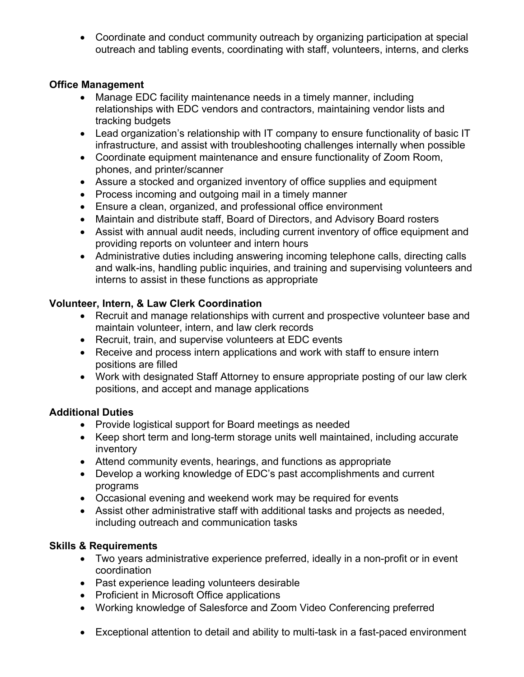• Coordinate and conduct community outreach by organizing participation at special outreach and tabling events, coordinating with staff, volunteers, interns, and clerks

### **Office Management**

- Manage EDC facility maintenance needs in a timely manner, including relationships with EDC vendors and contractors, maintaining vendor lists and tracking budgets
- Lead organization's relationship with IT company to ensure functionality of basic IT infrastructure, and assist with troubleshooting challenges internally when possible
- Coordinate equipment maintenance and ensure functionality of Zoom Room, phones, and printer/scanner
- Assure a stocked and organized inventory of office supplies and equipment
- Process incoming and outgoing mail in a timely manner
- Ensure a clean, organized, and professional office environment
- Maintain and distribute staff, Board of Directors, and Advisory Board rosters
- Assist with annual audit needs, including current inventory of office equipment and providing reports on volunteer and intern hours
- Administrative duties including answering incoming telephone calls, directing calls and walk-ins, handling public inquiries, and training and supervising volunteers and interns to assist in these functions as appropriate

### **Volunteer, Intern, & Law Clerk Coordination**

- Recruit and manage relationships with current and prospective volunteer base and maintain volunteer, intern, and law clerk records
- Recruit, train, and supervise volunteers at EDC events
- Receive and process intern applications and work with staff to ensure intern positions are filled
- Work with designated Staff Attorney to ensure appropriate posting of our law clerk positions, and accept and manage applications

### **Additional Duties**

- Provide logistical support for Board meetings as needed
- Keep short term and long-term storage units well maintained, including accurate inventory
- Attend community events, hearings, and functions as appropriate
- Develop a working knowledge of EDC's past accomplishments and current programs
- Occasional evening and weekend work may be required for events
- Assist other administrative staff with additional tasks and projects as needed, including outreach and communication tasks

# **Skills & Requirements**

- Two years administrative experience preferred, ideally in a non-profit or in event coordination
- Past experience leading volunteers desirable
- Proficient in Microsoft Office applications
- Working knowledge of Salesforce and Zoom Video Conferencing preferred
- Exceptional attention to detail and ability to multi-task in a fast-paced environment